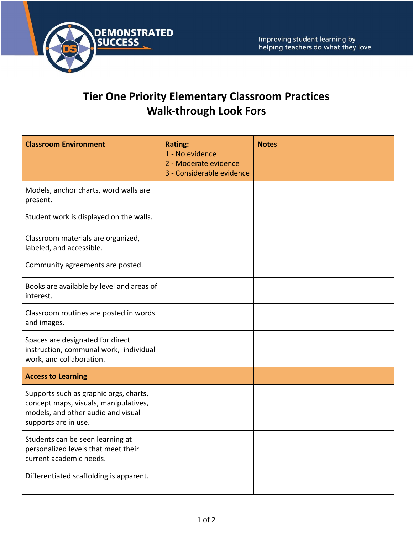

## **Tier One Priority Elementary Classroom Practices Walk-through Look Fors**

| <b>Classroom Environment</b>                                                                                                                  | <b>Rating:</b><br>1 - No evidence<br>2 - Moderate evidence<br>3 - Considerable evidence | <b>Notes</b> |
|-----------------------------------------------------------------------------------------------------------------------------------------------|-----------------------------------------------------------------------------------------|--------------|
| Models, anchor charts, word walls are<br>present.                                                                                             |                                                                                         |              |
| Student work is displayed on the walls.                                                                                                       |                                                                                         |              |
| Classroom materials are organized,<br>labeled, and accessible.                                                                                |                                                                                         |              |
| Community agreements are posted.                                                                                                              |                                                                                         |              |
| Books are available by level and areas of<br>interest.                                                                                        |                                                                                         |              |
| Classroom routines are posted in words<br>and images.                                                                                         |                                                                                         |              |
| Spaces are designated for direct<br>instruction, communal work, individual<br>work, and collaboration.                                        |                                                                                         |              |
| <b>Access to Learning</b>                                                                                                                     |                                                                                         |              |
| Supports such as graphic orgs, charts,<br>concept maps, visuals, manipulatives,<br>models, and other audio and visual<br>supports are in use. |                                                                                         |              |
| Students can be seen learning at<br>personalized levels that meet their<br>current academic needs.                                            |                                                                                         |              |
| Differentiated scaffolding is apparent.                                                                                                       |                                                                                         |              |